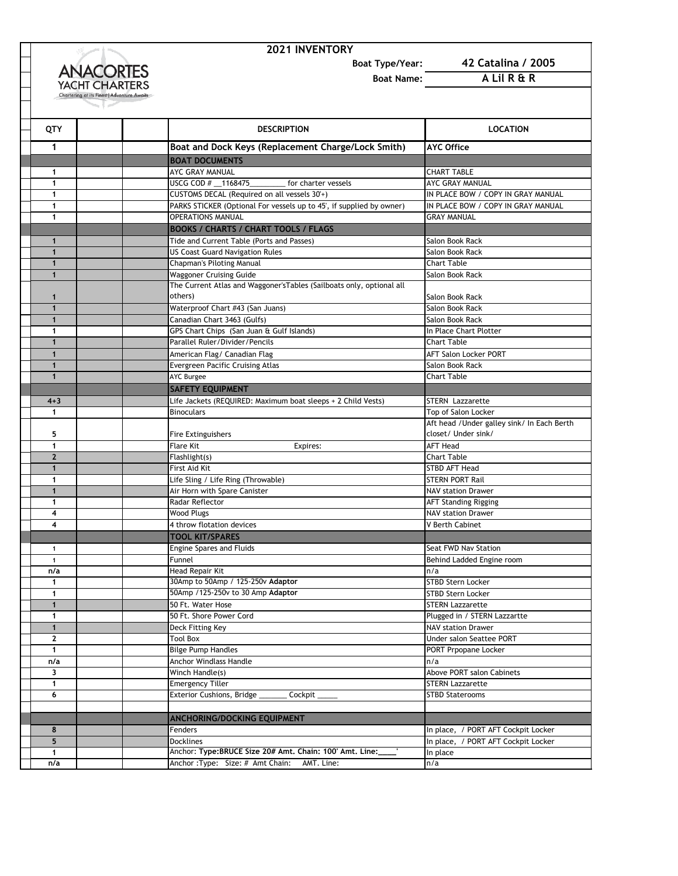

## **2021 INVENTORY**

**Boat Type/Year: 42 Catalina / 2005**

**Boat Name: A Lil R & R**

| QTY                 | <b>DESCRIPTION</b>                                                    | <b>LOCATION</b>                                           |
|---------------------|-----------------------------------------------------------------------|-----------------------------------------------------------|
| 1                   | Boat and Dock Keys (Replacement Charge/Lock Smith)                    | <b>AYC Office</b>                                         |
|                     | <b>BOAT DOCUMENTS</b>                                                 |                                                           |
| 1                   | AYC GRAY MANUAL                                                       | <b>CHART TABLE</b>                                        |
| $\mathbf{1}$        | USCG COD # 1168475<br>for charter vessels                             | AYC GRAY MANUAL                                           |
| $\mathbf{1}$        | CUSTOMS DECAL (Required on all vessels 30'+)                          | IN PLACE BOW / COPY IN GRAY MANUAL                        |
| $\mathbf{1}$        | PARKS STICKER (Optional For vessels up to 45', if supplied by owner)  | IN PLACE BOW / COPY IN GRAY MANUAL                        |
| $\mathbf{1}$        | <b>OPERATIONS MANUAL</b>                                              | <b>GRAY MANUAL</b>                                        |
|                     | <b>BOOKS / CHARTS / CHART TOOLS / FLAGS</b>                           |                                                           |
| $\mathbf{1}$        | Tide and Current Table (Ports and Passes)                             | Salon Book Rack                                           |
| $\mathbf{1}$        | <b>US Coast Guard Navigation Rules</b>                                | Salon Book Rack                                           |
| $\mathbf{1}$        | <b>Chapman's Piloting Manual</b>                                      | <b>Chart Table</b>                                        |
| $\mathbf{1}$        | <b>Waggoner Cruising Guide</b>                                        | Salon Book Rack                                           |
|                     | The Current Atlas and Waggoner's Tables (Sailboats only, optional all |                                                           |
| $\mathbf{1}$        | others)                                                               | Salon Book Rack                                           |
| $\mathbf{1}$        | Waterproof Chart #43 (San Juans)                                      | Salon Book Rack                                           |
| $\mathbf{1}$        | Canadian Chart 3463 (Gulfs)                                           | Salon Book Rack                                           |
| $\mathbf{1}$        | GPS Chart Chips (San Juan & Gulf Islands)                             | In Place Chart Plotter                                    |
| $\mathbf{1}$        | Parallel Ruler/Divider/Pencils                                        | Chart Table                                               |
| $\mathbf{1}$        | American Flag/ Canadian Flag                                          | <b>AFT Salon Locker PORT</b>                              |
| $\mathbf{1}$        | Evergreen Pacific Cruising Atlas                                      | Salon Book Rack                                           |
| $\mathbf{1}$        | <b>AYC Burgee</b>                                                     | <b>Chart Table</b>                                        |
|                     | <b>SAFETY EQUIPMENT</b>                                               |                                                           |
| $4 + 3$             | Life Jackets (REQUIRED: Maximum boat sleeps + 2 Child Vests)          | <b>STERN</b> Lazzarette                                   |
| $\mathbf{1}$        | <b>Binoculars</b>                                                     | Top of Salon Locker                                       |
|                     |                                                                       | Aft head / Under galley sink/ In Each Berth               |
| 5                   | Fire Extinguishers                                                    | closet/ Under sink/                                       |
| 1                   | Flare Kit<br>Expires:                                                 | <b>AFT Head</b>                                           |
| $\mathbf{2}$        | Flashlight(s)                                                         | <b>Chart Table</b>                                        |
| $\mathbf{1}$        | First Aid Kit                                                         | <b>STBD AFT Head</b>                                      |
| $\mathbf{1}$        | Life Sling / Life Ring (Throwable)                                    | <b>STERN PORT Rail</b>                                    |
| $\mathbf{1}$        | Air Horn with Spare Canister                                          | <b>NAV station Drawer</b>                                 |
| 1                   | Radar Reflector                                                       | <b>AFT Standing Rigging</b>                               |
| 4                   | <b>Wood Plugs</b>                                                     | <b>NAV station Drawer</b>                                 |
| 4                   | 4 throw flotation devices                                             | V Berth Cabinet                                           |
|                     | <b>TOOL KIT/SPARES</b>                                                |                                                           |
| $\mathbf{1}$        | <b>Engine Spares and Fluids</b>                                       | Seat FWD Nav Station                                      |
| $\mathbf{1}$        | Funnel                                                                | Behind Ladded Engine room                                 |
| n/a                 | Head Repair Kit<br>30Amp to 50Amp / 125-250v Adaptor                  | n/a                                                       |
| $\mathbf{1}$        | 50Amp /125-250v to 30 Amp Adaptor                                     | <b>STBD Stern Locker</b>                                  |
| 1<br>$\mathbf{1}$   |                                                                       | <b>STBD Stern Locker</b><br><b>STERN Lazzarette</b>       |
|                     | 50 Ft. Water Hose                                                     |                                                           |
| 1<br>$\mathbf{1}$   | 50 Ft. Shore Power Cord<br>Deck Fitting Key                           | Plugged in / STERN Lazzartte<br><b>NAV station Drawer</b> |
| $\mathbf{2}$        |                                                                       | Under salon Seattee PORT                                  |
| $\mathbf{1}$        | <b>Tool Box</b><br><b>Bilge Pump Handles</b>                          | PORT Prpopane Locker                                      |
| n/a                 | Anchor Windlass Handle                                                | n/a                                                       |
| 3                   | Winch Handle(s)                                                       | Above PORT salon Cabinets                                 |
| $\mathbf{1}$        | <b>Emergency Tiller</b>                                               | <b>STERN Lazzarette</b>                                   |
| 6                   | Exterior Cushions, Bridge<br>Cockpit                                  | <b>STBD Staterooms</b>                                    |
|                     |                                                                       |                                                           |
|                     |                                                                       |                                                           |
|                     | <b>ANCHORING/DOCKING EQUIPMENT</b>                                    |                                                           |
| 8<br>5              | Fenders<br><b>Docklines</b>                                           | In place, / PORT AFT Cockpit Locker                       |
|                     | Anchor: Type: BRUCE Size 20# Amt. Chain: 100' Amt. Line:              | In place, / PORT AFT Cockpit Locker                       |
| $\mathbf{1}$<br>n/a | Anchor: Type: Size: # Amt Chain: AMT. Line:                           | In place                                                  |
|                     |                                                                       | n/a                                                       |